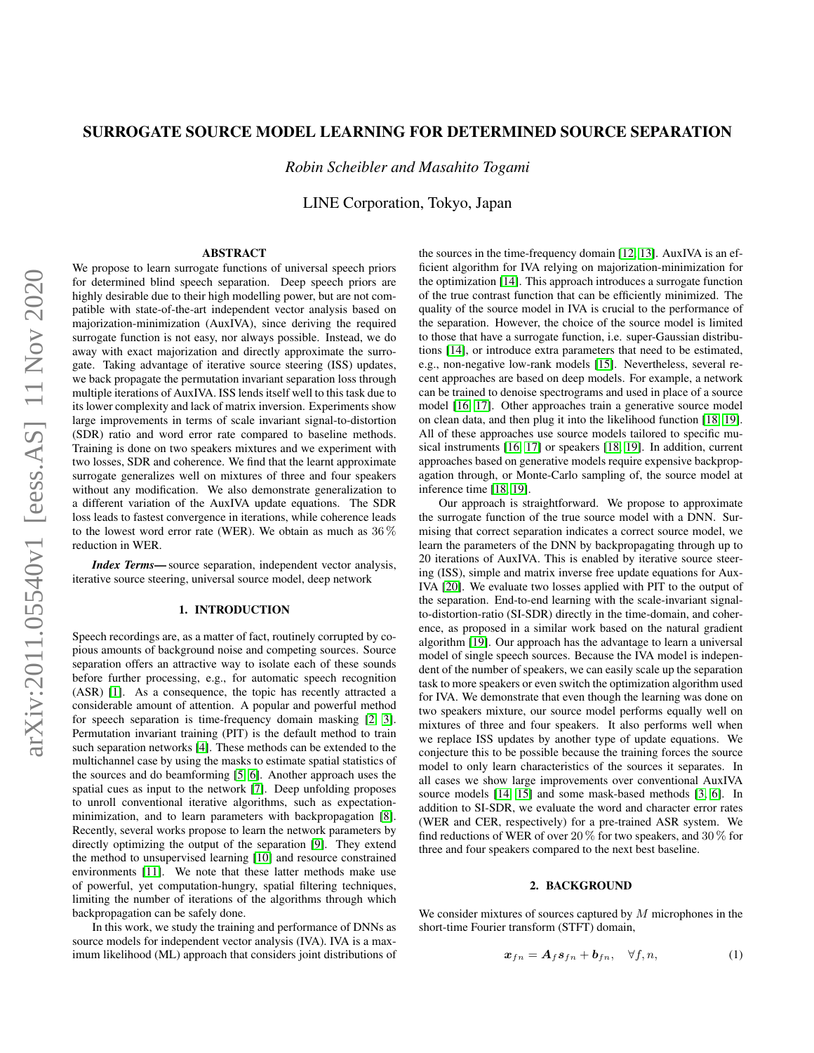# SURROGATE SOURCE MODEL LEARNING FOR DETERMINED SOURCE SEPARATION

*Robin Scheibler and Masahito Togami*

LINE Corporation, Tokyo, Japan

## ABSTRACT

We propose to learn surrogate functions of universal speech priors for determined blind speech separation. Deep speech priors are highly desirable due to their high modelling power, but are not compatible with state-of-the-art independent vector analysis based on majorization-minimization (AuxIVA), since deriving the required surrogate function is not easy, nor always possible. Instead, we do away with exact majorization and directly approximate the surrogate. Taking advantage of iterative source steering (ISS) updates, we back propagate the permutation invariant separation loss through multiple iterations of AuxIVA. ISS lends itself well to this task due to its lower complexity and lack of matrix inversion. Experiments show large improvements in terms of scale invariant signal-to-distortion (SDR) ratio and word error rate compared to baseline methods. Training is done on two speakers mixtures and we experiment with two losses, SDR and coherence. We find that the learnt approximate surrogate generalizes well on mixtures of three and four speakers without any modification. We also demonstrate generalization to a different variation of the AuxIVA update equations. The SDR loss leads to fastest convergence in iterations, while coherence leads to the lowest word error rate (WER). We obtain as much as  $36\%$ reduction in WER.

*Index Terms*— source separation, independent vector analysis, iterative source steering, universal source model, deep network

## 1. INTRODUCTION

Speech recordings are, as a matter of fact, routinely corrupted by copious amounts of background noise and competing sources. Source separation offers an attractive way to isolate each of these sounds before further processing, e.g., for automatic speech recognition (ASR) [\[1\]](#page-3-0). As a consequence, the topic has recently attracted a considerable amount of attention. A popular and powerful method for speech separation is time-frequency domain masking [\[2,](#page-4-0) [3\]](#page-4-1). Permutation invariant training (PIT) is the default method to train such separation networks [\[4\]](#page-4-2). These methods can be extended to the multichannel case by using the masks to estimate spatial statistics of the sources and do beamforming [\[5,](#page-4-3) [6\]](#page-4-4). Another approach uses the spatial cues as input to the network [\[7\]](#page-4-5). Deep unfolding proposes to unroll conventional iterative algorithms, such as expectationminimization, and to learn parameters with backpropagation [\[8\]](#page-4-6). Recently, several works propose to learn the network parameters by directly optimizing the output of the separation [\[9\]](#page-4-7). They extend the method to unsupervised learning [\[10\]](#page-4-8) and resource constrained environments [\[11\]](#page-4-9). We note that these latter methods make use of powerful, yet computation-hungry, spatial filtering techniques, limiting the number of iterations of the algorithms through which backpropagation can be safely done.

In this work, we study the training and performance of DNNs as source models for independent vector analysis (IVA). IVA is a maximum likelihood (ML) approach that considers joint distributions of the sources in the time-frequency domain [\[12,](#page-4-10) [13\]](#page-4-11). AuxIVA is an efficient algorithm for IVA relying on majorization-minimization for the optimization [\[14\]](#page-4-12). This approach introduces a surrogate function of the true contrast function that can be efficiently minimized. The quality of the source model in IVA is crucial to the performance of the separation. However, the choice of the source model is limited to those that have a surrogate function, i.e. super-Gaussian distributions [\[14\]](#page-4-12), or introduce extra parameters that need to be estimated, e.g., non-negative low-rank models [\[15\]](#page-4-13). Nevertheless, several recent approaches are based on deep models. For example, a network can be trained to denoise spectrograms and used in place of a source model [\[16,](#page-4-14) [17\]](#page-4-15). Other approaches train a generative source model on clean data, and then plug it into the likelihood function [\[18,](#page-4-16) [19\]](#page-4-17). All of these approaches use source models tailored to specific musical instruments [\[16,](#page-4-14) [17\]](#page-4-15) or speakers [\[18,](#page-4-16) [19\]](#page-4-17). In addition, current approaches based on generative models require expensive backpropagation through, or Monte-Carlo sampling of, the source model at inference time [\[18,](#page-4-16) [19\]](#page-4-17).

Our approach is straightforward. We propose to approximate the surrogate function of the true source model with a DNN. Surmising that correct separation indicates a correct source model, we learn the parameters of the DNN by backpropagating through up to 20 iterations of AuxIVA. This is enabled by iterative source steering (ISS), simple and matrix inverse free update equations for Aux-IVA [\[20\]](#page-4-18). We evaluate two losses applied with PIT to the output of the separation. End-to-end learning with the scale-invariant signalto-distortion-ratio (SI-SDR) directly in the time-domain, and coherence, as proposed in a similar work based on the natural gradient algorithm [\[19\]](#page-4-17). Our approach has the advantage to learn a universal model of single speech sources. Because the IVA model is independent of the number of speakers, we can easily scale up the separation task to more speakers or even switch the optimization algorithm used for IVA. We demonstrate that even though the learning was done on two speakers mixture, our source model performs equally well on mixtures of three and four speakers. It also performs well when we replace ISS updates by another type of update equations. We conjecture this to be possible because the training forces the source model to only learn characteristics of the sources it separates. In all cases we show large improvements over conventional AuxIVA source models [\[14,](#page-4-12) [15\]](#page-4-13) and some mask-based methods [\[3,](#page-4-1) [6\]](#page-4-4). In addition to SI-SDR, we evaluate the word and character error rates (WER and CER, respectively) for a pre-trained ASR system. We find reductions of WER of over 20  $\%$  for two speakers, and 30  $\%$  for three and four speakers compared to the next best baseline.

## 2. BACKGROUND

We consider mixtures of sources captured by  $M$  microphones in the short-time Fourier transform (STFT) domain,

$$
\boldsymbol{x}_{fn} = \boldsymbol{A}_f \boldsymbol{s}_{fn} + \boldsymbol{b}_{fn}, \quad \forall f, n,
$$
\n(1)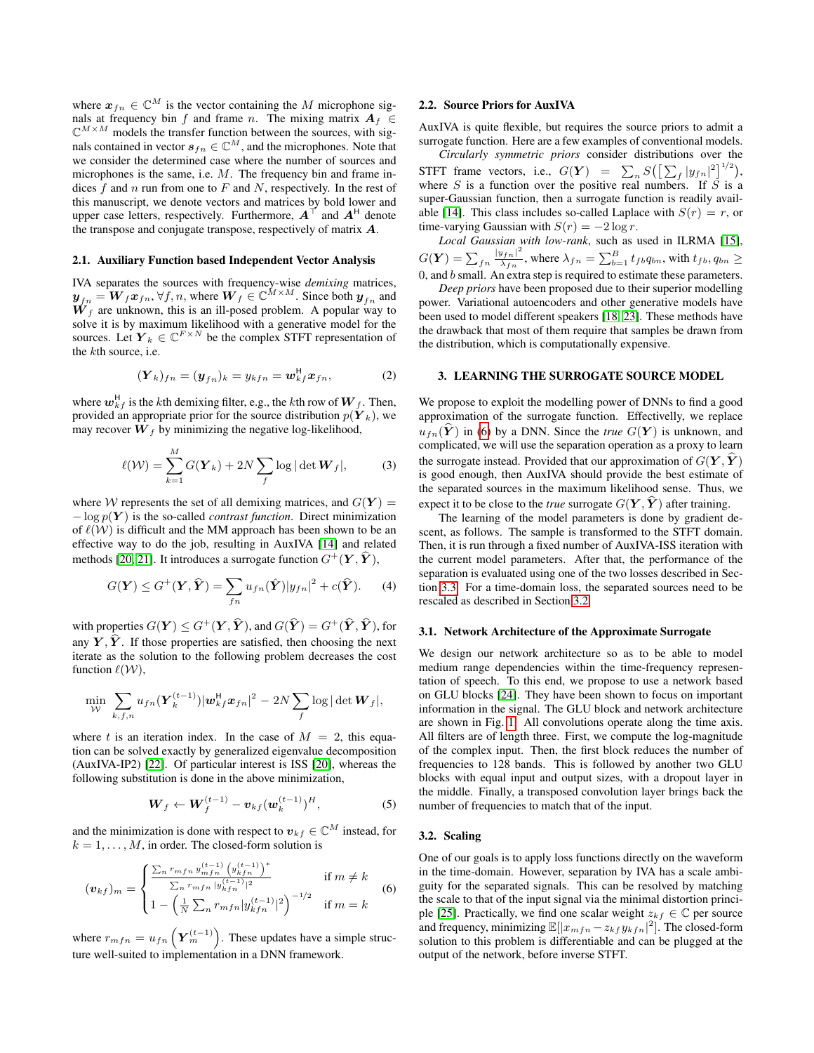where  $x_{fn} \in \mathbb{C}^{M}$  is the vector containing the M microphone signals at frequency bin f and frame n. The mixing matrix  $A_f \in$  $\mathbb{C}^{M \times M}$  models the transfer function between the sources, with signals contained in vector  $s_{fn} \in \mathbb{C}^M$ , and the microphones. Note that we consider the determined case where the number of sources and microphones is the same, i.e. M. The frequency bin and frame indices  $f$  and  $n$  run from one to  $F$  and  $N$ , respectively. In the rest of this manuscript, we denote vectors and matrices by bold lower and upper case letters, respectively. Furthermore,  $A^{\dagger}$  and  $A^{\dagger}$  denote the transpose and conjugate transpose, respectively of matrix A.

#### 2.1. Auxiliary Function based Independent Vector Analysis

IVA separates the sources with frequency-wise *demixing* matrices,  $\mathbf{y}_{fn} = \mathbf{W}_f \mathbf{x}_{fn}, \forall f, n$ , where  $\mathbf{W}_f \in \mathbb{C}^{M \times M}$ . Since both  $\mathbf{y}_{fn}$  and  $W_f$  are unknown, this is an ill-posed problem. A popular way to solve it is by maximum likelihood with a generative model for the sources. Let  $\boldsymbol{Y}_k \in \mathbb{C}^{F \times N}$  be the complex STFT representation of the kth source, i.e.

$$
(\boldsymbol{Y}_k)_{fn} = (\boldsymbol{y}_{fn})_k = y_{kfn} = \boldsymbol{w}_{kf}^{\mathsf{H}} \boldsymbol{x}_{fn},
$$
 (2)

where  $\boldsymbol{w}_{kf}^{\textsf{H}}$  is the  $k$ th demixing filter, e.g., the  $k$ th row of  $\boldsymbol{W}_{f}$ . Then, provided an appropriate prior for the source distribution  $p(Y_k)$ , we may recover  $W_f$  by minimizing the negative log-likelihood,

$$
\ell(\mathcal{W}) = \sum_{k=1}^{M} G(\boldsymbol{Y}_k) + 2N \sum_{f} \log |\det \boldsymbol{W}_f|, \tag{3}
$$

where W represents the set of all demixing matrices, and  $G(Y)$  =  $-\log p(Y)$  is the so-called *contrast function*. Direct minimization of  $\ell(\mathcal{W})$  is difficult and the MM approach has been shown to be an effective way to do the job, resulting in AuxIVA [\[14\]](#page-4-12) and related methods [\[20,](#page-4-18) [21\]](#page-4-19). It introduces a surrogate function  $G^+(\bm{Y}, \hat{\bm{Y}})$ ,

$$
G(\boldsymbol{Y}) \leq G^{+}(\boldsymbol{Y}, \widehat{\boldsymbol{Y}}) = \sum_{fn} u_{fn}(\widehat{\boldsymbol{Y}})|y_{fn}|^{2} + c(\widehat{\boldsymbol{Y}}). \qquad (4)
$$

with properties  $G(\boldsymbol{Y}) \leq G^{+}(\boldsymbol{Y}, \widehat{\boldsymbol{Y}})$ , and  $G(\widehat{\boldsymbol{Y}}) = G^{+}(\widehat{\boldsymbol{Y}}, \widehat{\boldsymbol{Y}})$ , for any  $\hat{Y}, \hat{Y}$ . If those properties are satisfied, then choosing the next iterate as the solution to the following problem decreases the cost function  $\ell(\mathcal{W})$ ,

$$
\min_{\mathcal{W}} \sum_{k,f,n} u_{fn}(\boldsymbol{Y}_k^{(t-1)}) |\boldsymbol{w}_{kf}^{\mathsf{H}} \boldsymbol{x}_{fn}|^2 - 2N \sum_f \log |\det \boldsymbol{W}_f|,
$$

where t is an iteration index. In the case of  $M = 2$ , this equation can be solved exactly by generalized eigenvalue decomposition (AuxIVA-IP2) [\[22\]](#page-4-20). Of particular interest is ISS [\[20\]](#page-4-18), whereas the following substitution is done in the above minimization,

$$
\boldsymbol{W}_f \leftarrow \boldsymbol{W}_f^{(t-1)} - \boldsymbol{v}_{kf}(\boldsymbol{w}_k^{(t-1)})^H, \tag{5}
$$

and the minimization is done with respect to  $v_{kf} \in \mathbb{C}^{M}$  instead, for  $k = 1, \ldots, M$ , in order. The closed-form solution is

$$
(\boldsymbol{v}_{kf})_m = \begin{cases} \frac{\sum_n r_{mfn} y_{mfn}^{(t-1)} \left( y_{kfn}^{(t-1)} \right)^*}{\sum_n r_{mfn} |y_{kfn}^{(t-1)}|^2} & \text{if } m \neq k \\ 1 - \left( \frac{1}{N} \sum_n r_{mfn} |y_{kfn}^{(t-1)}|^2 \right)^{-1/2} & \text{if } m = k \end{cases} \tag{6}
$$

where  $r_{mfn} = u_{fn} \left( \boldsymbol{Y}_m^{(t-1)} \right)$ . These updates have a simple structure well-suited to implementation in a DNN framework.

#### <span id="page-1-2"></span>2.2. Source Priors for AuxIVA

AuxIVA is quite flexible, but requires the source priors to admit a surrogate function. Here are a few examples of conventional models.

*Circularly symmetric priors* consider distributions over the STFT frame vectors, i.e.,  $G(\boldsymbol{Y}) = \sum_{n} S\left( \left[ \sum_{f} |y_{fn}|^2 \right]^{1/2} \right)$ , where  $S$  is a function over the positive real numbers. If  $S$  is a super-Gaussian function, then a surrogate function is readily avail-able [\[14\]](#page-4-12). This class includes so-called Laplace with  $S(r) = r$ , or time-varying Gaussian with  $S(r) = -2 \log r$ .

*Local Gaussian with low-rank*, such as used in ILRMA [\[15\]](#page-4-13),  $G(\boldsymbol{Y}) = \sum_{fn} \frac{|y_{fn}|^2}{\lambda_{fn}}$  $\frac{\partial |f_n|^2}{\lambda_{fn}}$ , where  $\lambda_{fn} = \sum_{b=1}^B t_{fb}q_{bn}$ , with  $t_{fb}, q_{bn} \geq$  $0$ , and  $b$  small. An extra step is required to estimate these parameters.

*Deep priors* have been proposed due to their superior modelling power. Variational autoencoders and other generative models have been used to model different speakers [\[18,](#page-4-16) [23\]](#page-4-21). These methods have the drawback that most of them require that samples be drawn from the distribution, which is computationally expensive.

## 3. LEARNING THE SURROGATE SOURCE MODEL

We propose to exploit the modelling power of DNNs to find a good approximation of the surrogate function. Effectivelly, we replace  $u_{fn}(\hat{Y})$  in [\(6\)](#page-1-0) by a DNN. Since the *true*  $G(Y)$  is unknown, and complicated, we will use the separation operation as a proxy to learn the surrogate instead. Provided that our approximation of  $G(Y, \hat{Y})$ is good enough, then AuxIVA should provide the best estimate of the separated sources in the maximum likelihood sense. Thus, we expect it to be close to the *true* surrogate  $G(Y, \hat{Y})$  after training.

The learning of the model parameters is done by gradient descent, as follows. The sample is transformed to the STFT domain. Then, it is run through a fixed number of AuxIVA-ISS iteration with the current model parameters. After that, the performance of the separation is evaluated using one of the two losses described in Section [3.3.](#page-2-0) For a time-domain loss, the separated sources need to be rescaled as described in Section [3.2.](#page-1-1)

#### <span id="page-1-3"></span>3.1. Network Architecture of the Approximate Surrogate

We design our network architecture so as to be able to model medium range dependencies within the time-frequency representation of speech. To this end, we propose to use a network based on GLU blocks [\[24\]](#page-4-22). They have been shown to focus on important information in the signal. The GLU block and network architecture are shown in Fig. [1.](#page-2-1) All convolutions operate along the time axis. All filters are of length three. First, we compute the log-magnitude of the complex input. Then, the first block reduces the number of frequencies to 128 bands. This is followed by another two GLU blocks with equal input and output sizes, with a dropout layer in the middle. Finally, a transposed convolution layer brings back the number of frequencies to match that of the input.

## <span id="page-1-1"></span>3.2. Scaling

<span id="page-1-0"></span>One of our goals is to apply loss functions directly on the waveform in the time-domain. However, separation by IVA has a scale ambiguity for the separated signals. This can be resolved by matching the scale to that of the input signal via the minimal distortion princi-ple [\[25\]](#page-4-23). Practically, we find one scalar weight  $z_{kf} \in \mathbb{C}$  per source and frequency, minimizing  $\mathbb{E}[|x_{mfn} - z_{kf} y_{kfn}|^2]$ . The closed-form solution to this problem is differentiable and can be plugged at the output of the network, before inverse STFT.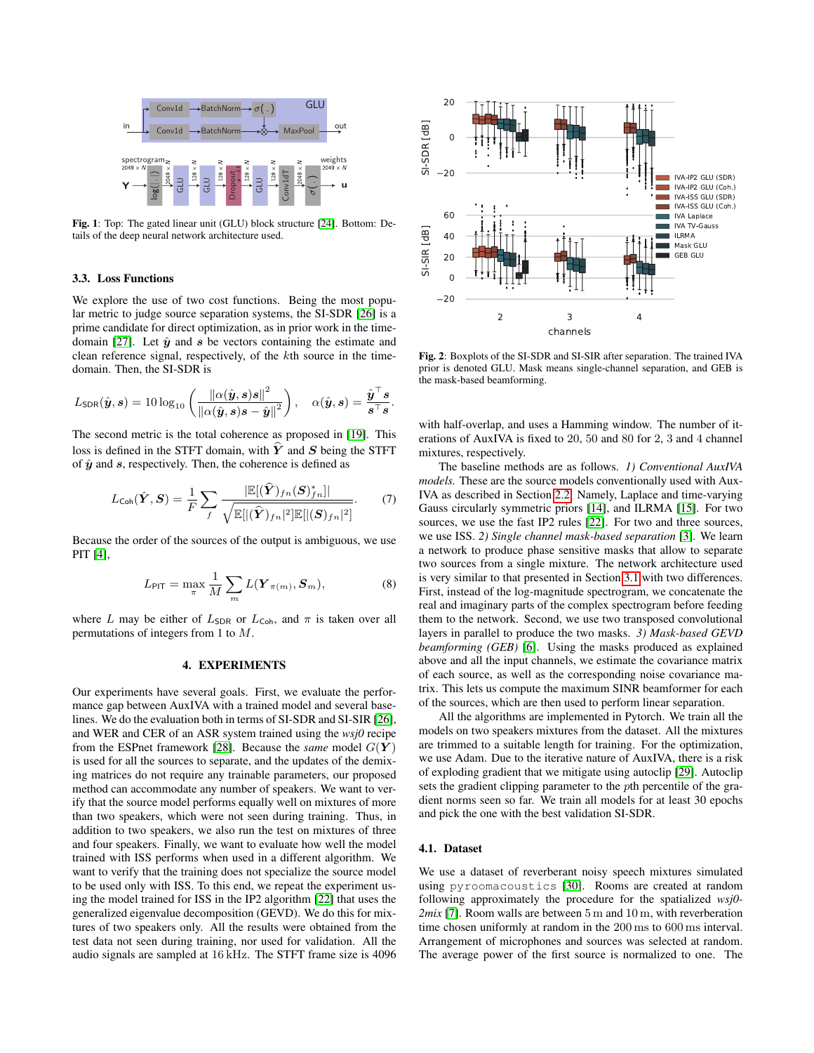<span id="page-2-1"></span>

Fig. 1: Top: The gated linear unit (GLU) block structure [\[24\]](#page-4-22). Bottom: Details of the deep neural network architecture used.

#### <span id="page-2-0"></span>3.3. Loss Functions

We explore the use of two cost functions. Being the most popular metric to judge source separation systems, the SI-SDR [\[26\]](#page-4-24) is a prime candidate for direct optimization, as in prior work in the time-domain [\[27\]](#page-4-25). Let  $\hat{y}$  and  $s$  be vectors containing the estimate and clean reference signal, respectively, of the kth source in the timedomain. Then, the SI-SDR is

$$
L_{\sf SDR}(\hat{\boldsymbol{y}},\boldsymbol{s}) = 10\log_{10}\left(\frac{\|\alpha(\hat{\boldsymbol{y}},\boldsymbol{s})\boldsymbol{s}\|^2}{\|\alpha(\hat{\boldsymbol{y}},\boldsymbol{s})\boldsymbol{s} - \hat{\boldsymbol{y}}\|^2}\right), \quad \alpha(\hat{\boldsymbol{y}},\boldsymbol{s}) = \frac{\hat{\boldsymbol{y}}^\top \boldsymbol{s}}{\boldsymbol{s}^\top \boldsymbol{s}}
$$

The second metric is the total coherence as proposed in [\[19\]](#page-4-17). This loss is defined in the STFT domain, with  $\hat{Y}$  and S being the STFT of  $\hat{y}$  and  $s$ , respectively. Then, the coherence is defined as

$$
L_{\text{Coh}}(\hat{\boldsymbol{Y}}, \boldsymbol{S}) = \frac{1}{F} \sum_{f} \frac{|\mathbb{E}[(\hat{\boldsymbol{Y}})_{fn}(\boldsymbol{S})_{fn}^{*}]|}{\sqrt{\mathbb{E}[|(\hat{\boldsymbol{Y}})_{fn}|^{2}]\mathbb{E}[|(\boldsymbol{S})_{fn}|^{2}]}}.
$$
(7)

Because the order of the sources of the output is ambiguous, we use PIT [\[4\]](#page-4-2),

$$
L_{\text{PIT}} = \max_{\pi} \frac{1}{M} \sum_{m} L(\boldsymbol{Y}_{\pi(m)}, \boldsymbol{S}_{m}), \tag{8}
$$

where L may be either of  $L_{SDR}$  or  $L_{Coh}$ , and  $\pi$  is taken over all permutations of integers from 1 to M.

#### 4. EXPERIMENTS

Our experiments have several goals. First, we evaluate the performance gap between AuxIVA with a trained model and several baselines. We do the evaluation both in terms of SI-SDR and SI-SIR [\[26\]](#page-4-24), and WER and CER of an ASR system trained using the *wsj0* recipe from the ESPnet framework [\[28\]](#page-4-26). Because the *same* model  $G(Y)$ is used for all the sources to separate, and the updates of the demixing matrices do not require any trainable parameters, our proposed method can accommodate any number of speakers. We want to verify that the source model performs equally well on mixtures of more than two speakers, which were not seen during training. Thus, in addition to two speakers, we also run the test on mixtures of three and four speakers. Finally, we want to evaluate how well the model trained with ISS performs when used in a different algorithm. We want to verify that the training does not specialize the source model to be used only with ISS. To this end, we repeat the experiment using the model trained for ISS in the IP2 algorithm [\[22\]](#page-4-20) that uses the generalized eigenvalue decomposition (GEVD). We do this for mixtures of two speakers only. All the results were obtained from the test data not seen during training, nor used for validation. All the audio signals are sampled at 16 kHz. The STFT frame size is 4096

<span id="page-2-2"></span>

Fig. 2: Boxplots of the SI-SDR and SI-SIR after separation. The trained IVA prior is denoted GLU. Mask means single-channel separation, and GEB is the mask-based beamforming.

with half-overlap, and uses a Hamming window. The number of iterations of AuxIVA is fixed to 20, 50 and 80 for 2, 3 and 4 channel mixtures, respectively.

<span id="page-2-3"></span>The baseline methods are as follows. *1) Conventional AuxIVA models.* These are the source models conventionally used with Aux-IVA as described in Section [2.2.](#page-1-2) Namely, Laplace and time-varying Gauss circularly symmetric priors [\[14\]](#page-4-12), and ILRMA [\[15\]](#page-4-13). For two sources, we use the fast IP2 rules [\[22\]](#page-4-20). For two and three sources, we use ISS. *2) Single channel mask-based separation* [\[3\]](#page-4-1). We learn a network to produce phase sensitive masks that allow to separate two sources from a single mixture. The network architecture used is very similar to that presented in Section [3.1](#page-1-3) with two differences. First, instead of the log-magnitude spectrogram, we concatenate the real and imaginary parts of the complex spectrogram before feeding them to the network. Second, we use two transposed convolutional layers in parallel to produce the two masks. *3) Mask-based GEVD beamforming (GEB)* [\[6\]](#page-4-4). Using the masks produced as explained above and all the input channels, we estimate the covariance matrix of each source, as well as the corresponding noise covariance matrix. This lets us compute the maximum SINR beamformer for each of the sources, which are then used to perform linear separation.

All the algorithms are implemented in Pytorch. We train all the models on two speakers mixtures from the dataset. All the mixtures are trimmed to a suitable length for training. For the optimization, we use Adam. Due to the iterative nature of AuxIVA, there is a risk of exploding gradient that we mitigate using autoclip [\[29\]](#page-4-27). Autoclip sets the gradient clipping parameter to the pth percentile of the gradient norms seen so far. We train all models for at least 30 epochs and pick the one with the best validation SI-SDR.

### 4.1. Dataset

.

We use a dataset of reverberant noisy speech mixtures simulated using pyroomacoustics [\[30\]](#page-4-28). Rooms are created at random following approximately the procedure for the spatialized *wsj0- 2mix* [\[7\]](#page-4-5). Room walls are between 5 m and 10 m, with reverberation time chosen uniformly at random in the 200 ms to 600 ms interval. Arrangement of microphones and sources was selected at random. The average power of the first source is normalized to one. The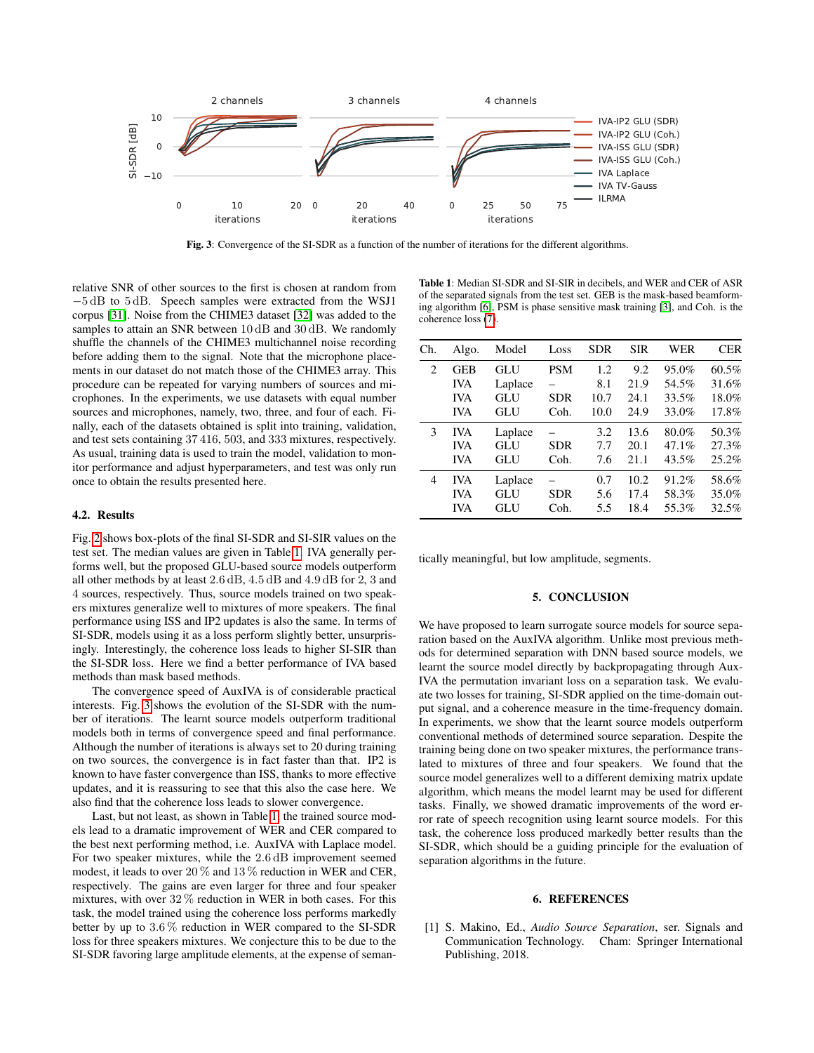<span id="page-3-2"></span>

Fig. 3: Convergence of the SI-SDR as a function of the number of iterations for the different algorithms.

relative SNR of other sources to the first is chosen at random from −5 dB to 5 dB. Speech samples were extracted from the WSJ1 corpus [\[31\]](#page-4-29). Noise from the CHIME3 dataset [\[32\]](#page-4-30) was added to the samples to attain an SNR between 10 dB and 30 dB. We randomly shuffle the channels of the CHIME3 multichannel noise recording before adding them to the signal. Note that the microphone placements in our dataset do not match those of the CHIME3 array. This procedure can be repeated for varying numbers of sources and microphones. In the experiments, we use datasets with equal number sources and microphones, namely, two, three, and four of each. Finally, each of the datasets obtained is split into training, validation, and test sets containing 37 416, 503, and 333 mixtures, respectively. As usual, training data is used to train the model, validation to monitor performance and adjust hyperparameters, and test was only run once to obtain the results presented here.

#### 4.2. Results

Fig. [2](#page-2-2) shows box-plots of the final SI-SDR and SI-SIR values on the test set. The median values are given in Table [1.](#page-3-1) IVA generally performs well, but the proposed GLU-based source models outperform all other methods by at least 2.6 dB, 4.5 dB and 4.9 dB for 2, 3 and 4 sources, respectively. Thus, source models trained on two speakers mixtures generalize well to mixtures of more speakers. The final performance using ISS and IP2 updates is also the same. In terms of SI-SDR, models using it as a loss perform slightly better, unsurprisingly. Interestingly, the coherence loss leads to higher SI-SIR than the SI-SDR loss. Here we find a better performance of IVA based methods than mask based methods.

The convergence speed of AuxIVA is of considerable practical interests. Fig. [3](#page-3-2) shows the evolution of the SI-SDR with the number of iterations. The learnt source models outperform traditional models both in terms of convergence speed and final performance. Although the number of iterations is always set to 20 during training on two sources, the convergence is in fact faster than that. IP2 is known to have faster convergence than ISS, thanks to more effective updates, and it is reassuring to see that this also the case here. We also find that the coherence loss leads to slower convergence.

Last, but not least, as shown in Table [1,](#page-3-1) the trained source models lead to a dramatic improvement of WER and CER compared to the best next performing method, i.e. AuxIVA with Laplace model. For two speaker mixtures, while the 2.6 dB improvement seemed modest, it leads to over 20 % and 13 % reduction in WER and CER, respectively. The gains are even larger for three and four speaker mixtures, with over 32 % reduction in WER in both cases. For this task, the model trained using the coherence loss performs markedly better by up to 3.6 % reduction in WER compared to the SI-SDR loss for three speakers mixtures. We conjecture this to be due to the SI-SDR favoring large amplitude elements, at the expense of seman-

<span id="page-3-1"></span>Table 1: Median SI-SDR and SI-SIR in decibels, and WER and CER of ASR of the separated signals from the test set. GEB is the mask-based beamforming algorithm [\[6\]](#page-4-4), PSM is phase sensitive mask training [\[3\]](#page-4-1), and Coh. is the coherence loss [\(7\)](#page-2-3).

| Ch. | Algo.      | Model   | Loss       | <b>SDR</b> | <b>SIR</b> | <b>WER</b> | <b>CER</b> |
|-----|------------|---------|------------|------------|------------|------------|------------|
| 2   | <b>GEB</b> | GLU     | <b>PSM</b> | 1.2        | 9.2        | 95.0%      | 60.5%      |
|     | <b>IVA</b> | Laplace |            | 8.1        | 21.9       | 54.5%      | 31.6%      |
|     | <b>IVA</b> | GLU     | <b>SDR</b> | 10.7       | 24.1       | 33.5%      | 18.0%      |
|     | <b>IVA</b> | GLU     | Coh.       | 10.0       | 24.9       | 33.0%      | 17.8%      |
| 3   | <b>IVA</b> | Laplace |            | 3.2        | 13.6       | 80.0%      | 50.3%      |
|     | <b>IVA</b> | GLU     | <b>SDR</b> | 7.7        | 20.1       | 47.1%      | 27.3%      |
|     | <b>IVA</b> | GLU     | Coh.       | 7.6        | 21.1       | 43.5%      | 25.2%      |
| 4   | <b>IVA</b> | Laplace |            | 0.7        | 10.2       | 91.2%      | 58.6%      |
|     | <b>IVA</b> | GLU     | <b>SDR</b> | 5.6        | 17.4       | 58.3%      | 35.0%      |
|     | <b>IVA</b> | GLU     | Coh.       | 5.5        | 18.4       | 55.3%      | 32.5%      |
|     |            |         |            |            |            |            |            |

tically meaningful, but low amplitude, segments.

#### 5. CONCLUSION

We have proposed to learn surrogate source models for source separation based on the AuxIVA algorithm. Unlike most previous methods for determined separation with DNN based source models, we learnt the source model directly by backpropagating through Aux-IVA the permutation invariant loss on a separation task. We evaluate two losses for training, SI-SDR applied on the time-domain output signal, and a coherence measure in the time-frequency domain. In experiments, we show that the learnt source models outperform conventional methods of determined source separation. Despite the training being done on two speaker mixtures, the performance translated to mixtures of three and four speakers. We found that the source model generalizes well to a different demixing matrix update algorithm, which means the model learnt may be used for different tasks. Finally, we showed dramatic improvements of the word error rate of speech recognition using learnt source models. For this task, the coherence loss produced markedly better results than the SI-SDR, which should be a guiding principle for the evaluation of separation algorithms in the future.

#### 6. REFERENCES

<span id="page-3-0"></span>[1] S. Makino, Ed., *Audio Source Separation*, ser. Signals and Communication Technology. Cham: Springer International Publishing, 2018.